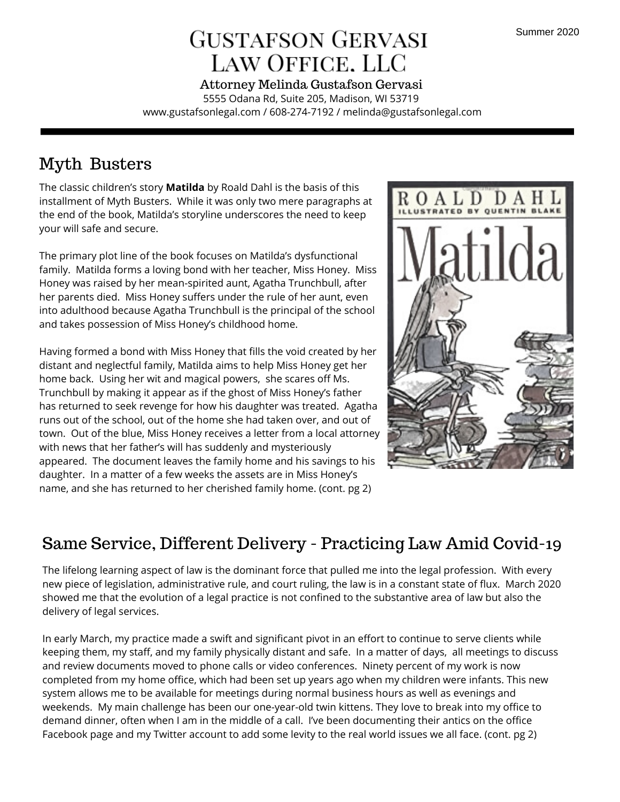# **GUSTAFSON GERVASI** LAW OFFICE. LLC

5555 Odana Rd, Suite 205, Madison, WI 53719 www.gustafsonlegal.com / 608-274-7192 / melinda@gustafsonlegal.com Attorney Melinda Gustafson Gervasi

## Myth Busters

The classic children's story **Matilda** by Roald Dahl is the basis of this installment of Myth Busters. While it was only two mere paragraphs at the end of the book, Matilda's storyline underscores the need to keep your will safe and secure.

The primary plot line of the book focuses on Matilda's dysfunctional family. Matilda forms a loving bond with her teacher, Miss Honey. Miss Honey was raised by her mean-spirited aunt, Agatha Trunchbull, after her parents died. Miss Honey suffers under the rule of her aunt, even into adulthood because Agatha Trunchbull is the principal of the school and takes possession of Miss Honey's childhood home.

Having formed a bond with Miss Honey that fills the void created by her distant and neglectful family, Matilda aims to help Miss Honey get her home back. Using her wit and magical powers, she scares off Ms. Trunchbull by making it appear as if the ghost of Miss Honey's father has returned to seek revenge for how his daughter was treated. Agatha runs out of the school, out of the home she had taken over, and out of town. Out of the blue, Miss Honey receives a letter from a local attorney with news that her father's will has suddenly and mysteriously appeared. The document leaves the family home and his savings to his daughter. In a matter of a few weeks the assets are in Miss Honey's name, and she has returned to her cherished family home. (cont. pg 2)



## Same Service, Different Delivery - Practicing Law Amid Covid-19

The lifelong learning aspect of law is the dominant force that pulled me into the legal profession. With every new piece of legislation, administrative rule, and court ruling, the law is in a constant state of flux. March 2020 showed me that the evolution of a legal practice is not confined to the substantive area of law but also the delivery of legal services.

In early March, my practice made a swift and significant pivot in an effort to continue to serve clients while keeping them, my staff, and my family physically distant and safe. In a matter of days, all meetings to discuss and review documents moved to phone calls or video conferences. Ninety percent of my work is now completed from my home office, which had been set up years ago when my children were infants. This new system allows me to be available for meetings during normal business hours as well as evenings and weekends. My main challenge has been our one-year-old twin kittens. They love to break into my office to demand dinner, often when I am in the middle of a call. I've been documenting their antics on the office Facebook page and my Twitter account to add some levity to the real world issues we all face. (cont. pg 2)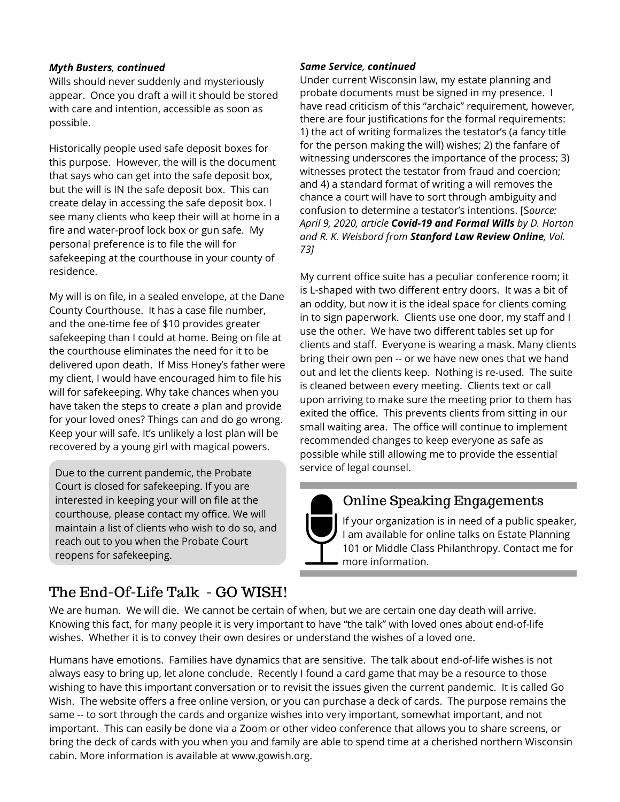#### *Myth Busters, continued*

Wills should never suddenly and mysteriously appear. Once you draft a will it should be stored with care and intention, accessible as soon as possible.

Historically people used safe deposit boxes for this purpose. However, the will is the document that says who can get into the safe deposit box, but the will is IN the safe deposit box. This can create delay in accessing the safe deposit box. I see many clients who keep their will at home in a fire and water-proof lock box or gun safe. My personal preference is to file the will for safekeeping at the courthouse in your county of residence.

My will is on file, in a sealed envelope, at the Dane County Courthouse. It has a case file number, and the one-time fee of \$10 provides greater safekeeping than I could at home. Being on file at the courthouse eliminates the need for it to be delivered upon death. If Miss Honey's father were my client, I would have encouraged him to file his will for safekeeping. Why take chances when you have taken the steps to create a plan and provide for your loved ones? Things can and do go wrong. Keep your will safe. It's unlikely a lost plan will be recovered by a young girl with magical powers.

Due to the current pandemic, the Probate Court is closed for safekeeping. If you are interested in keeping your will on file at the courthouse, please contact my office. We will maintain a list of clients who wish to do so, and reach out to you when the Probate Court reopens for safekeeping.

#### *Same Service, continued*

Under current Wisconsin law, my estate planning and probate documents must be signed in my presence. I have read criticism of this "archaic" requirement, however, there are four justifications for the formal requirements: 1) the act of writing formalizes the testator's (a fancy title for the person making the will) wishes; 2) the fanfare of witnessing underscores the importance of the process; 3) witnesses protect the testator from fraud and coercion; and 4) a standard format of writing a will removes the chance a court will have to sort through ambiguity and confusion to determine a testator's intentions. [S*ource: April 9, 2020, article Covid-19 and Formal Wills by D. Horton and R. K. Weisbord from Stanford Law Review Online, Vol. 73]*

My current office suite has a peculiar conference room; it is L-shaped with two different entry doors. It was a bit of an oddity, but now it is the ideal space for clients coming in to sign paperwork. Clients use one door, my staff and I use the other. We have two different tables set up for clients and staff. Everyone is wearing a mask. Many clients bring their own pen -- or we have new ones that we hand out and let the clients keep. Nothing is re-used. The suite is cleaned between every meeting. Clients text or call upon arriving to make sure the meeting prior to them has exited the office. This prevents clients from sitting in our small waiting area. The office will continue to implement recommended changes to keep everyone as safe as possible while still allowing me to provide the essential service of legal counsel.

### Online Speaking Engagements

If your organization is in need of a public speaker, I am available for online talks on Estate Planning 101 or Middle Class Philanthropy. Contact me for more information.

### The End-Of-Life Talk - GO WISH!

We are human. We will die. We cannot be certain of when, but we are certain one day death will arrive. Knowing this fact, for many people it is very important to have "the talk" with loved ones about end-of-life wishes. Whether it is to convey their own desires or understand the wishes of a loved one.

Humans have emotions. Families have dynamics that are sensitive. The talk about end-of-life wishes is not always easy to bring up, let alone conclude. Recently I found a card game that may be a resource to those wishing to have this important conversation or to revisit the issues given the current pandemic. It is called Go Wish. The website offers a free online version, or you can purchase a deck of cards. The purpose remains the same -- to sort through the cards and organize wishes into very important, somewhat important, and not important. This can easily be done via a Zoom or other video conference that allows you to share screens, or bring the deck of cards with you when you and family are able to spend time at a cherished northern Wisconsin cabin. More information is available at www.gowish.org.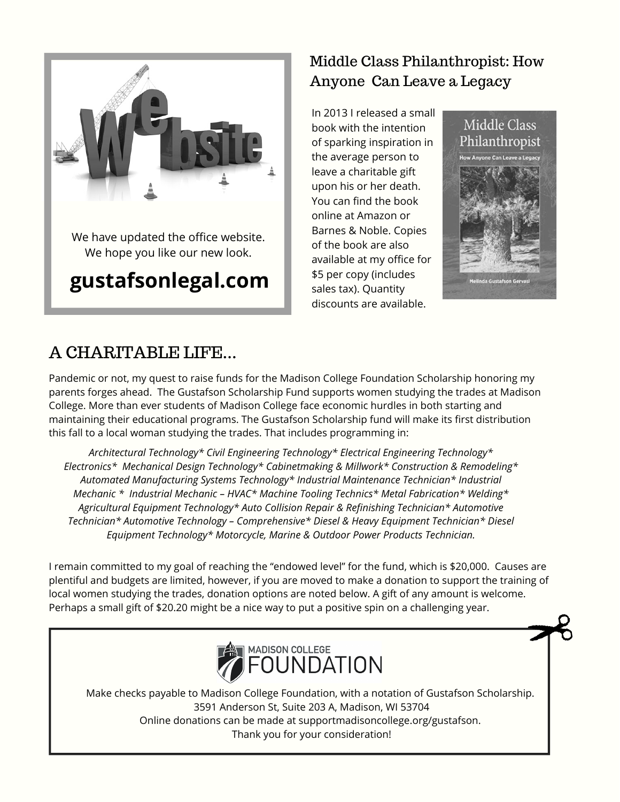

### Middle Class Philanthropist: How Anyone Can Leave a Legacy

In 2013 I released a small book with the intention of sparking inspiration in the average person to leave a charitable gift upon his or her death. You can find the book online at Amazon or Barnes & Noble. Copies of the book are also available at my office for \$5 per copy (includes sales tax). Quantity discounts are available.



### A CHARITABLE LIFE...

Pandemic or not, my quest to raise funds for the Madison College Foundation Scholarship honoring my parents forges ahead. The Gustafson Scholarship Fund supports women studying the trades at Madison College. More than ever students of Madison College face economic hurdles in both starting and maintaining their educational programs. The Gustafson Scholarship fund will make its first distribution this fall to a local woman studying the trades. That includes programming in:

*Architectural Technology\* Civil Engineering Technology\* Electrical Engineering Technology\* Electronics\* Mechanical Design Technology\* Cabinetmaking & Millwork\* Construction & Remodeling\* Automated Manufacturing Systems Technology\* Industrial Maintenance Technician\* Industrial Mechanic \* Industrial Mechanic – HVAC\* Machine Tooling Technics\* Metal Fabrication\* Welding\* Agricultural Equipment Technology\* Auto Collision Repair & Refinishing Technician\* Automotive Technician\* Automotive Technology – Comprehensive\* Diesel & Heavy Equipment Technician\* Diesel Equipment Technology\* Motorcycle, Marine & Outdoor Power Products Technician.*

I remain committed to my goal of reaching the "endowed level" for the fund, which is \$20,000. Causes are plentiful and budgets are limited, however, if you are moved to make a donation to support the training of local women studying the trades, donation options are noted below. A gift of any amount is welcome. Perhaps a small gift of \$20.20 might be a nice way to put a positive spin on a challenging year.



Make checks payable to Madison College Foundation, with a notation of Gustafson Scholarship. 3591 Anderson St, Suite 203 A, Madison, WI 53704 Online donations can be made at supportmadisoncollege.org/gustafson. Thank you for your consideration!